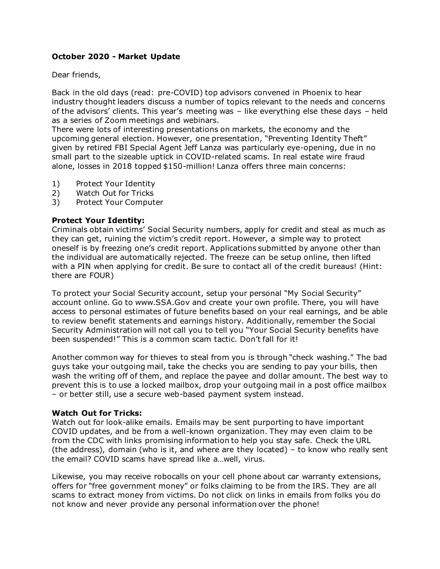# **October 2020 - Market Update**

Dear friends,

Back in the old days (read: pre-COVID) top advisors convened in Phoenix to hear industry thought leaders discuss a number of topics relevant to the needs and concerns of the advisors' clients. This year's meeting was – like everything else these days – held as a series of Zoom meetings and webinars.

There were lots of interesting presentations on markets, the economy and the upcoming general election. However, one presentation, "Preventing Identity Theft" given by retired FBI Special Agent Jeff Lanza was particularly eye-opening, due in no small part to the sizeable uptick in COVID-related scams. In real estate wire fraud alone, losses in 2018 topped \$150-million! Lanza offers three main concerns:

- 1) Protect Your Identity
- 2) Watch Out for Tricks
- 3) Protect Your Computer

# **Protect Your Identity:**

Criminals obtain victims' Social Security numbers, apply for credit and steal as much as they can get, ruining the victim's credit report. However, a simple way to protect oneself is by freezing one's credit report. Applications submitted by anyone other than the individual are automatically rejected. The freeze can be setup online, then lifted with a PIN when applying for credit. Be sure to contact all of the credit bureaus! (Hint: there are FOUR)

To protect your Social Security account, setup your personal "My Social Security" account online. Go to www.SSA.Gov and create your own profile. There, you will have access to personal estimates of future benefits based on your real earnings, and be able to review benefit statements and earnings history. Additionally, remember the Social Security Administration will not call you to tell you "Your Social Security benefits have been suspended!" This is a common scam tactic. Don't fall for it!

Another common way for thieves to steal from you is through "check washing." The bad guys take your outgoing mail, take the checks you are sending to pay your bills, then wash the writing off of them, and replace the payee and dollar amount. The best way to prevent this is to use a locked mailbox, drop your outgoing mail in a post office mailbox – or better still, use a secure web-based payment system instead.

# **Watch Out for Tricks:**

Watch out for look-alike emails. Emails may be sent purporting to have important COVID updates, and be from a well-known organization. They may even claim to be from the CDC with links promising information to help you stay safe. Check the URL (the address), domain (who is it, and where are they located) – to know who really sent the email? COVID scams have spread like a…well, virus.

Likewise, you may receive robocalls on your cell phone about car warranty extensions, offers for "free government money" or folks claiming to be from the IRS. They are all scams to extract money from victims. Do not click on links in emails from folks you do not know and never provide any personal information over the phone!